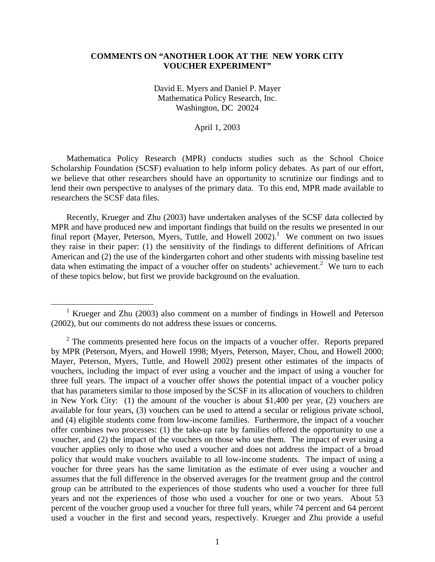# **COMMENTS ON "ANOTHER LOOK AT THE NEW YORK CITY VOUCHER EXPERIMENT"**

David E. Myers and Daniel P. Mayer Mathematica Policy Research, Inc. Washington, DC 20024

April 1, 2003

Mathematica Policy Research (MPR) conducts studies such as the School Choice Scholarship Foundation (SCSF) evaluation to help inform policy debates. As part of our effort, we believe that other researchers should have an opportunity to scrutinize our findings and to lend their own perspective to analyses of the primary data. To this end, MPR made available to researchers the SCSF data files.

Recently, Krueger and Zhu (2003) have undertaken analyses of the SCSF data collected by MPR and have produced new and important findings that build on the results we presented in our final report (Mayer, Peterson, Myers, Tuttle, and Howell  $2002$ ).<sup>1</sup> We comment on two issues they raise in their paper: (1) the sensitivity of the findings to different definitions of African American and (2) the use of the kindergarten cohort and other students with missing baseline test data when estimating the impact of a voucher offer on students' achievement.<sup>2</sup> We turn to each of these topics below, but first we provide background on the evaluation.

 <sup>1</sup> <sup>1</sup> Krueger and Zhu (2003) also comment on a number of findings in Howell and Peterson (2002), but our comments do not address these issues or concerns.

 $2^2$  The comments presented here focus on the impacts of a voucher offer. Reports prepared by MPR (Peterson, Myers, and Howell 1998; Myers, Peterson, Mayer, Chou, and Howell 2000; Mayer, Peterson, Myers, Tuttle, and Howell 2002) present other estimates of the impacts of vouchers, including the impact of ever using a voucher and the impact of using a voucher for three full years. The impact of a voucher offer shows the potential impact of a voucher policy that has parameters similar to those imposed by the SCSF in its allocation of vouchers to children in New York City: (1) the amount of the voucher is about \$1,400 per year, (2) vouchers are available for four years, (3) vouchers can be used to attend a secular or religious private school, and (4) eligible students come from low-income families. Furthermore, the impact of a voucher offer combines two processes: (1) the take-up rate by families offered the opportunity to use a voucher, and (2) the impact of the vouchers on those who use them. The impact of ever using a voucher applies only to those who used a voucher and does not address the impact of a broad policy that would make vouchers available to all low-income students. The impact of using a voucher for three years has the same limitation as the estimate of ever using a voucher and assumes that the full difference in the observed averages for the treatment group and the control group can be attributed to the experiences of those students who used a voucher for three full years and not the experiences of those who used a voucher for one or two years. About 53 percent of the voucher group used a voucher for three full years, while 74 percent and 64 percent used a voucher in the first and second years, respectively. Krueger and Zhu provide a useful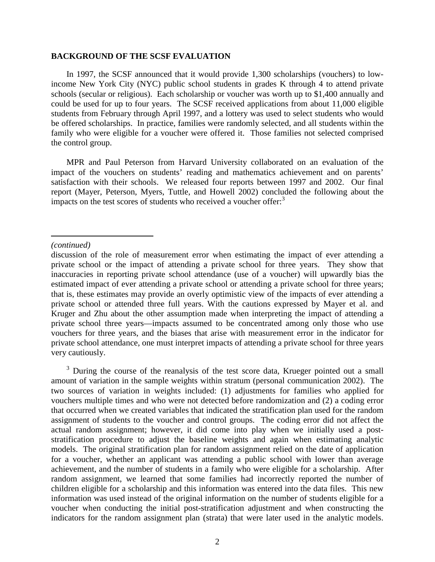# **BACKGROUND OF THE SCSF EVALUATION**

In 1997, the SCSF announced that it would provide 1,300 scholarships (vouchers) to lowincome New York City (NYC) public school students in grades K through 4 to attend private schools (secular or religious). Each scholarship or voucher was worth up to \$1,400 annually and could be used for up to four years. The SCSF received applications from about 11,000 eligible students from February through April 1997, and a lottery was used to select students who would be offered scholarships. In practice, families were randomly selected, and all students within the family who were eligible for a voucher were offered it. Those families not selected comprised the control group.

MPR and Paul Peterson from Harvard University collaborated on an evaluation of the impact of the vouchers on students' reading and mathematics achievement and on parents' satisfaction with their schools. We released four reports between 1997 and 2002. Our final report (Mayer, Peterson, Myers, Tuttle, and Howell 2002) concluded the following about the impacts on the test scores of students who received a voucher offer:<sup>3</sup>

### *(continued)*

 $\overline{a}$ 

<sup>3</sup> During the course of the reanalysis of the test score data, Krueger pointed out a small amount of variation in the sample weights within stratum (personal communication 2002). The two sources of variation in weights included: (1) adjustments for families who applied for vouchers multiple times and who were not detected before randomization and (2) a coding error that occurred when we created variables that indicated the stratification plan used for the random assignment of students to the voucher and control groups. The coding error did not affect the actual random assignment; however, it did come into play when we initially used a poststratification procedure to adjust the baseline weights and again when estimating analytic models. The original stratification plan for random assignment relied on the date of application for a voucher, whether an applicant was attending a public school with lower than average achievement, and the number of students in a family who were eligible for a scholarship. After random assignment, we learned that some families had incorrectly reported the number of children eligible for a scholarship and this information was entered into the data files. This new information was used instead of the original information on the number of students eligible for a voucher when conducting the initial post-stratification adjustment and when constructing the indicators for the random assignment plan (strata) that were later used in the analytic models.

discussion of the role of measurement error when estimating the impact of ever attending a private school or the impact of attending a private school for three years. They show that inaccuracies in reporting private school attendance (use of a voucher) will upwardly bias the estimated impact of ever attending a private school or attending a private school for three years; that is, these estimates may provide an overly optimistic view of the impacts of ever attending a private school or attended three full years. With the cautions expressed by Mayer et al. and Kruger and Zhu about the other assumption made when interpreting the impact of attending a private school three years—impacts assumed to be concentrated among only those who use vouchers for three years, and the biases that arise with measurement error in the indicator for private school attendance, one must interpret impacts of attending a private school for three years very cautiously.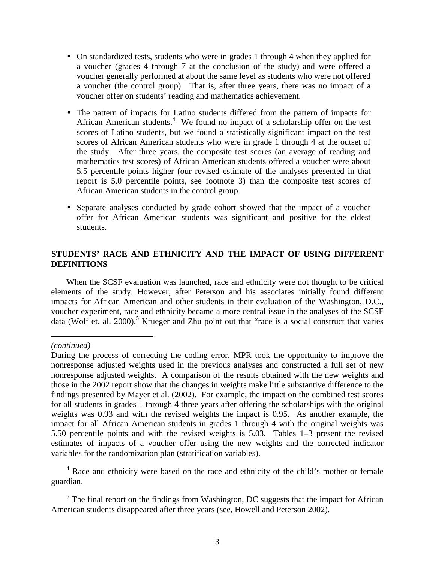- On standardized tests, students who were in grades 1 through 4 when they applied for a voucher (grades 4 through 7 at the conclusion of the study) and were offered a voucher generally performed at about the same level as students who were not offered a voucher (the control group). That is, after three years, there was no impact of a voucher offer on students' reading and mathematics achievement.
- The pattern of impacts for Latino students differed from the pattern of impacts for African American students.<sup>4</sup> We found no impact of a scholarship offer on the test scores of Latino students, but we found a statistically significant impact on the test scores of African American students who were in grade 1 through 4 at the outset of the study. After three years, the composite test scores (an average of reading and mathematics test scores) of African American students offered a voucher were about 5.5 percentile points higher (our revised estimate of the analyses presented in that report is 5.0 percentile points, see footnote 3) than the composite test scores of African American students in the control group.
- Separate analyses conducted by grade cohort showed that the impact of a voucher offer for African American students was significant and positive for the eldest students.

# **STUDENTS' RACE AND ETHNICITY AND THE IMPACT OF USING DIFFERENT DEFINITIONS**

When the SCSF evaluation was launched, race and ethnicity were not thought to be critical elements of the study. However, after Peterson and his associates initially found different impacts for African American and other students in their evaluation of the Washington, D.C., voucher experiment, race and ethnicity became a more central issue in the analyses of the SCSF data (Wolf et. al. 2000).<sup>5</sup> Krueger and Zhu point out that "race is a social construct that varies

*(continued)* 

 $\overline{a}$ 

<sup>4</sup> Race and ethnicity were based on the race and ethnicity of the child's mother or female guardian.

 $<sup>5</sup>$  The final report on the findings from Washington, DC suggests that the impact for African</sup> American students disappeared after three years (see, Howell and Peterson 2002).

During the process of correcting the coding error, MPR took the opportunity to improve the nonresponse adjusted weights used in the previous analyses and constructed a full set of new nonresponse adjusted weights. A comparison of the results obtained with the new weights and those in the 2002 report show that the changes in weights make little substantive difference to the findings presented by Mayer et al. (2002). For example, the impact on the combined test scores for all students in grades 1 through 4 three years after offering the scholarships with the original weights was 0.93 and with the revised weights the impact is 0.95. As another example, the impact for all African American students in grades 1 through 4 with the original weights was 5.50 percentile points and with the revised weights is 5.03. Tables 1–3 present the revised estimates of impacts of a voucher offer using the new weights and the corrected indicator variables for the randomization plan (stratification variables).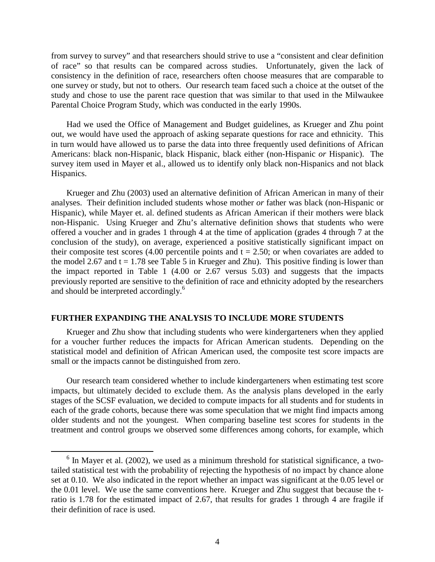from survey to survey" and that researchers should strive to use a "consistent and clear definition of race" so that results can be compared across studies. Unfortunately, given the lack of consistency in the definition of race, researchers often choose measures that are comparable to one survey or study, but not to others. Our research team faced such a choice at the outset of the study and chose to use the parent race question that was similar to that used in the Milwaukee Parental Choice Program Study, which was conducted in the early 1990s.

Had we used the Office of Management and Budget guidelines, as Krueger and Zhu point out, we would have used the approach of asking separate questions for race and ethnicity. This in turn would have allowed us to parse the data into three frequently used definitions of African Americans: black non-Hispanic, black Hispanic, black either (non-Hispanic *or* Hispanic). The survey item used in Mayer et al., allowed us to identify only black non-Hispanics and not black Hispanics.

Krueger and Zhu (2003) used an alternative definition of African American in many of their analyses. Their definition included students whose mother *or* father was black (non-Hispanic or Hispanic), while Mayer et. al. defined students as African American if their mothers were black non-Hispanic. Using Krueger and Zhu's alternative definition shows that students who were offered a voucher and in grades 1 through 4 at the time of application (grades 4 through 7 at the conclusion of the study), on average, experienced a positive statistically significant impact on their composite test scores (4.00 percentile points and  $t = 2.50$ ; or when covariates are added to the model 2.67 and  $t = 1.78$  see Table 5 in Krueger and Zhu). This positive finding is lower than the impact reported in Table 1  $(4.00 \text{ or } 2.67 \text{ versus } 5.03)$  and suggests that the impacts previously reported are sensitive to the definition of race and ethnicity adopted by the researchers and should be interpreted accordingly.<sup>6</sup>

# **FURTHER EXPANDING THE ANALYSIS TO INCLUDE MORE STUDENTS**

 Krueger and Zhu show that including students who were kindergarteners when they applied for a voucher further reduces the impacts for African American students. Depending on the statistical model and definition of African American used, the composite test score impacts are small or the impacts cannot be distinguished from zero.

Our research team considered whether to include kindergarteners when estimating test score impacts, but ultimately decided to exclude them. As the analysis plans developed in the early stages of the SCSF evaluation, we decided to compute impacts for all students and for students in each of the grade cohorts, because there was some speculation that we might find impacts among older students and not the youngest. When comparing baseline test scores for students in the treatment and control groups we observed some differences among cohorts, for example, which

 $\overline{\phantom{0}}$  $6$  In Mayer et al. (2002), we used as a minimum threshold for statistical significance, a twotailed statistical test with the probability of rejecting the hypothesis of no impact by chance alone set at 0.10. We also indicated in the report whether an impact was significant at the 0.05 level or the 0.01 level. We use the same conventions here. Krueger and Zhu suggest that because the tratio is 1.78 for the estimated impact of 2.67, that results for grades 1 through 4 are fragile if their definition of race is used.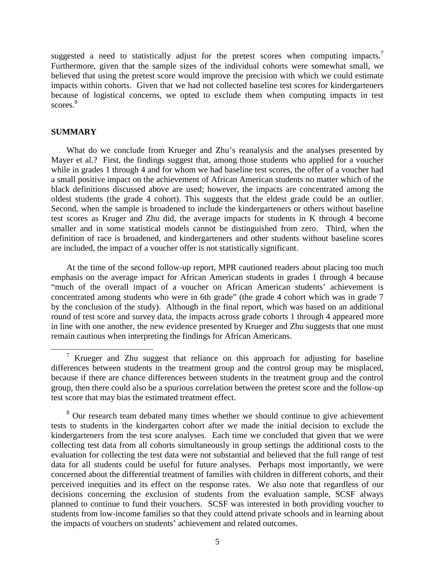suggested a need to statistically adjust for the pretest scores when computing impacts.<sup>7</sup> Furthermore, given that the sample sizes of the individual cohorts were somewhat small, we believed that using the pretest score would improve the precision with which we could estimate impacts within cohorts. Given that we had not collected baseline test scores for kindergarteners because of logistical concerns, we opted to exclude them when computing impacts in test scores.<sup>8</sup>

# **SUMMARY**

What do we conclude from Krueger and Zhu's reanalysis and the analyses presented by Mayer et al.? First, the findings suggest that, among those students who applied for a voucher while in grades 1 through 4 and for whom we had baseline test scores, the offer of a voucher had a small positive impact on the achievement of African American students no matter which of the black definitions discussed above are used; however, the impacts are concentrated among the oldest students (the grade 4 cohort). This suggests that the eldest grade could be an outlier. Second, when the sample is broadened to include the kindergarteners or others without baseline test scores as Kruger and Zhu did, the average impacts for students in K through 4 become smaller and in some statistical models cannot be distinguished from zero. Third, when the definition of race is broadened, and kindergarteners and other students without baseline scores are included, the impact of a voucher offer is not statistically significant.

At the time of the second follow-up report, MPR cautioned readers about placing too much emphasis on the average impact for African American students in grades 1 through 4 because "much of the overall impact of a voucher on African American students' achievement is concentrated among students who were in 6th grade" (the grade 4 cohort which was in grade 7 by the conclusion of the study). Although in the final report, which was based on an additional round of test score and survey data, the impacts across grade cohorts 1 through 4 appeared more in line with one another, the new evidence presented by Krueger and Zhu suggests that one must remain cautious when interpreting the findings for African Americans.

<sup>8</sup> Our research team debated many times whether we should continue to give achievement tests to students in the kindergarten cohort after we made the initial decision to exclude the kindergarteners from the test score analyses. Each time we concluded that given that we were collecting test data from all cohorts simultaneously in group settings the additional costs to the evaluation for collecting the test data were not substantial and believed that the full range of test data for all students could be useful for future analyses. Perhaps most importantly, we were concerned about the differential treatment of families with children in different cohorts, and their perceived inequities and its effect on the response rates. We also note that regardless of our decisions concerning the exclusion of students from the evaluation sample, SCSF always planned to continue to fund their vouchers. SCSF was interested in both providing voucher to students from low-income families so that they could attend private schools and in learning about the impacts of vouchers on students' achievement and related outcomes.

<sup>&</sup>lt;sup>7</sup> Krueger and Zhu suggest that reliance on this approach for adjusting for baseline differences between students in the treatment group and the control group may be misplaced, because if there are chance differences between students in the treatment group and the control group, then there could also be a spurious correlation between the pretest score and the follow-up test score that may bias the estimated treatment effect.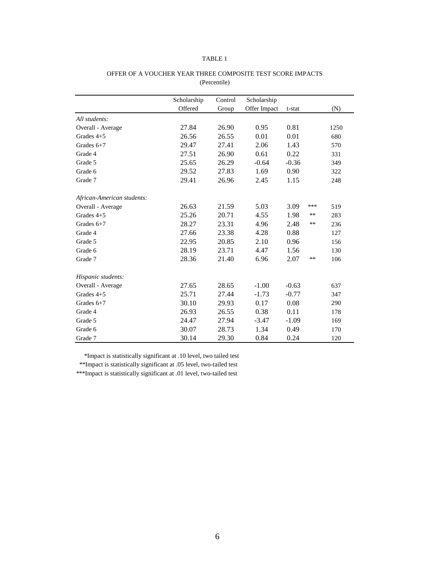|                            | Scholarship | Control | Scholarship  |         |       |      |
|----------------------------|-------------|---------|--------------|---------|-------|------|
|                            | Offered     | Group   | Offer Impact | t-stat  |       | (N)  |
| All students:              |             |         |              |         |       |      |
| Overall - Average          | 27.84       | 26.90   | 0.95         | 0.81    |       | 1250 |
| Grades $4+5$               | 26.56       | 26.55   | 0.01         | 0.01    |       | 680  |
| Grades $6+7$               | 29.47       | 27.41   | 2.06         | 1.43    |       | 570  |
| Grade 4                    | 27.51       | 26.90   | 0.61         | 0.22    |       | 331  |
| Grade 5                    | 25.65       | 26.29   | $-0.64$      | $-0.36$ |       | 349  |
| Grade 6                    | 29.52       | 27.83   | 1.69         | 0.90    |       | 322  |
| Grade 7                    | 29.41       | 26.96   | 2.45         | 1.15    |       | 248  |
| African-American students: |             |         |              |         |       |      |
| Overall - Average          | 26.63       | 21.59   | 5.03         | 3.09    | ***   | 519  |
| Grades $4+5$               | 25.26       | 20.71   | 4.55         | 1.98    | $***$ | 283  |
| Grades $6+7$               | 28.27       | 23.31   | 4.96         | 2.48    | $***$ | 236  |
| Grade 4                    | 27.66       | 23.38   | 4.28         | 0.88    |       | 127  |
| Grade 5                    | 22.95       | 20.85   | 2.10         | 0.96    |       | 156  |
| Grade 6                    | 28.19       | 23.71   | 4.47         | 1.56    |       | 130  |
| Grade 7                    | 28.36       | 21.40   | 6.96         | 2.07    | $***$ | 106  |
| Hispanic students:         |             |         |              |         |       |      |
| Overall - Average          | 27.65       | 28.65   | $-1.00$      | $-0.63$ |       | 637  |
| Grades $4+5$               | 25.71       | 27.44   | $-1.73$      | $-0.77$ |       | 347  |
| Grades $6+7$               | 30.10       | 29.93   | 0.17         | 0.08    |       | 290  |
| Grade 4                    | 26.93       | 26.55   | 0.38         | 0.11    |       | 178  |
| Grade 5                    | 24.47       | 27.94   | $-3.47$      | $-1.09$ |       | 169  |
| Grade 6                    | 30.07       | 28.73   | 1.34         | 0.49    |       | 170  |
| Grade 7                    | 30.14       | 29.30   | 0.84         | 0.24    |       | 120  |

#### OFFER OF A VOUCHER YEAR THREE COMPOSITE TEST SCORE IMPACTS (Percentile)

\*Impact is statistically significant at .10 level, two tailed test

\*\*Impact is statistically significant at .05 level, two-tailed test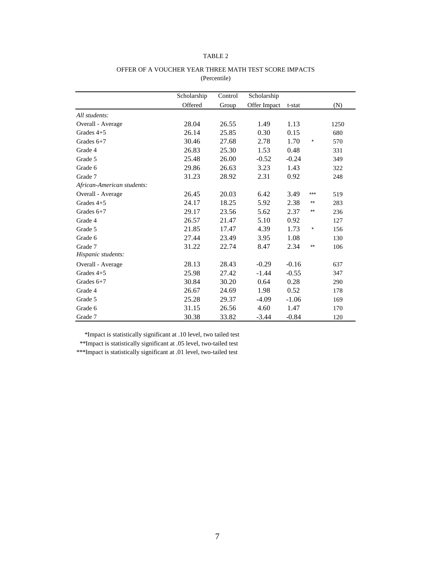|                            | Scholarship | Control | Scholarship  |         |                 |      |
|----------------------------|-------------|---------|--------------|---------|-----------------|------|
|                            | Offered     | Group   | Offer Impact | t-stat  |                 | (N)  |
| All students:              |             |         |              |         |                 |      |
| Overall - Average          | 28.04       | 26.55   | 1.49         | 1.13    |                 | 1250 |
| Grades $4+5$               | 26.14       | 25.85   | 0.30         | 0.15    |                 | 680  |
| Grades $6+7$               | 30.46       | 27.68   | 2.78         | 1.70    | $\star$         | 570  |
| Grade 4                    | 26.83       | 25.30   | 1.53         | 0.48    |                 | 331  |
| Grade 5                    | 25.48       | 26.00   | $-0.52$      | $-0.24$ |                 | 349  |
| Grade 6                    | 29.86       | 26.63   | 3.23         | 1.43    |                 | 322  |
| Grade 7                    | 31.23       | 28.92   | 2.31         | 0.92    |                 | 248  |
| African-American students: |             |         |              |         |                 |      |
| Overall - Average          | 26.45       | 20.03   | 6.42         | 3.49    | $***$           | 519  |
| Grades $4+5$               | 24.17       | 18.25   | 5.92         | 2.38    | $^{\star\star}$ | 283  |
| Grades $6+7$               | 29.17       | 23.56   | 5.62         | 2.37    | $^{\star\star}$ | 236  |
| Grade 4                    | 26.57       | 21.47   | 5.10         | 0.92    |                 | 127  |
| Grade 5                    | 21.85       | 17.47   | 4.39         | 1.73    | $^{\star}$      | 156  |
| Grade 6                    | 27.44       | 23.49   | 3.95         | 1.08    |                 | 130  |
| Grade 7                    | 31.22       | 22.74   | 8.47         | 2.34    | $***$           | 106  |
| Hispanic students:         |             |         |              |         |                 |      |
| Overall - Average          | 28.13       | 28.43   | $-0.29$      | $-0.16$ |                 | 637  |
| Grades $4+5$               | 25.98       | 27.42   | $-1.44$      | $-0.55$ |                 | 347  |
| Grades $6+7$               | 30.84       | 30.20   | 0.64         | 0.28    |                 | 290  |
| Grade 4                    | 26.67       | 24.69   | 1.98         | 0.52    |                 | 178  |
| Grade 5                    | 25.28       | 29.37   | $-4.09$      | $-1.06$ |                 | 169  |
| Grade 6                    | 31.15       | 26.56   | 4.60         | 1.47    |                 | 170  |
| Grade 7                    | 30.38       | 33.82   | $-3.44$      | $-0.84$ |                 | 120  |

#### OFFER OF A VOUCHER YEAR THREE MATH TEST SCORE IMPACTS (Percentile)

\*Impact is statistically significant at .10 level, two tailed test

\*\*Impact is statistically significant at .05 level, two-tailed test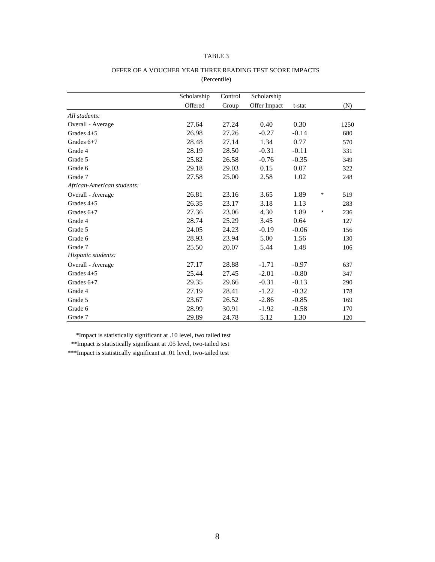|                            | Scholarship | Control | Scholarship  |         |            |      |
|----------------------------|-------------|---------|--------------|---------|------------|------|
|                            | Offered     | Group   | Offer Impact | t-stat  |            | (N)  |
| All students:              |             |         |              |         |            |      |
| Overall - Average          | 27.64       | 27.24   | 0.40         | 0.30    |            | 1250 |
| Grades $4+5$               | 26.98       | 27.26   | $-0.27$      | $-0.14$ |            | 680  |
| Grades $6+7$               | 28.48       | 27.14   | 1.34         | 0.77    |            | 570  |
| Grade 4                    | 28.19       | 28.50   | $-0.31$      | $-0.11$ |            | 331  |
| Grade 5                    | 25.82       | 26.58   | $-0.76$      | $-0.35$ |            | 349  |
| Grade 6                    | 29.18       | 29.03   | 0.15         | 0.07    |            | 322  |
| Grade 7                    | 27.58       | 25.00   | 2.58         | 1.02    |            | 248  |
| African-American students: |             |         |              |         |            |      |
| Overall - Average          | 26.81       | 23.16   | 3.65         | 1.89    | $\star$    | 519  |
| Grades $4+5$               | 26.35       | 23.17   | 3.18         | 1.13    |            | 283  |
| Grades $6+7$               | 27.36       | 23.06   | 4.30         | 1.89    | $^{\star}$ | 236  |
| Grade 4                    | 28.74       | 25.29   | 3.45         | 0.64    |            | 127  |
| Grade 5                    | 24.05       | 24.23   | $-0.19$      | $-0.06$ |            | 156  |
| Grade 6                    | 28.93       | 23.94   | 5.00         | 1.56    |            | 130  |
| Grade 7                    | 25.50       | 20.07   | 5.44         | 1.48    |            | 106  |
| Hispanic students:         |             |         |              |         |            |      |
| Overall - Average          | 27.17       | 28.88   | $-1.71$      | $-0.97$ |            | 637  |
| Grades $4+5$               | 25.44       | 27.45   | $-2.01$      | $-0.80$ |            | 347  |
| Grades $6+7$               | 29.35       | 29.66   | $-0.31$      | $-0.13$ |            | 290  |
| Grade 4                    | 27.19       | 28.41   | $-1.22$      | $-0.32$ |            | 178  |
| Grade 5                    | 23.67       | 26.52   | $-2.86$      | $-0.85$ |            | 169  |
| Grade 6                    | 28.99       | 30.91   | $-1.92$      | $-0.58$ |            | 170  |
| Grade 7                    | 29.89       | 24.78   | 5.12         | 1.30    |            | 120  |

# OFFER OF A VOUCHER YEAR THREE READING TEST SCORE IMPACTS (Percentile)

\*Impact is statistically significant at .10 level, two tailed test

 \*\*Impact is statistically significant at .05 level, two-tailed test \*\*\*Impact is statistically significant at .01 level, two-tailed test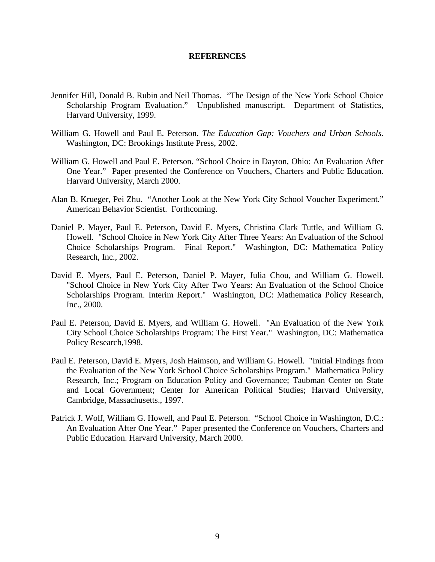# **REFERENCES**

- Jennifer Hill, Donald B. Rubin and Neil Thomas. "The Design of the New York School Choice Scholarship Program Evaluation." Unpublished manuscript. Department of Statistics, Harvard University, 1999.
- William G. Howell and Paul E. Peterson. *The Education Gap: Vouchers and Urban Schools*. Washington, DC: Brookings Institute Press, 2002.
- William G. Howell and Paul E. Peterson. "School Choice in Dayton, Ohio: An Evaluation After One Year." Paper presented the Conference on Vouchers, Charters and Public Education. Harvard University, March 2000.
- Alan B. Krueger, Pei Zhu. "Another Look at the New York City School Voucher Experiment." American Behavior Scientist. Forthcoming.
- Daniel P. Mayer, Paul E. Peterson, David E. Myers, Christina Clark Tuttle, and William G. Howell. "School Choice in New York City After Three Years: An Evaluation of the School Choice Scholarships Program. Final Report." Washington, DC: Mathematica Policy Research, Inc., 2002.
- David E. Myers, Paul E. Peterson, Daniel P. Mayer, Julia Chou, and William G. Howell. "School Choice in New York City After Two Years: An Evaluation of the School Choice Scholarships Program. Interim Report." Washington, DC: Mathematica Policy Research, Inc., 2000.
- Paul E. Peterson, David E. Myers, and William G. Howell. "An Evaluation of the New York City School Choice Scholarships Program: The First Year." Washington, DC: Mathematica Policy Research,1998.
- Paul E. Peterson, David E. Myers, Josh Haimson, and William G. Howell. "Initial Findings from the Evaluation of the New York School Choice Scholarships Program." Mathematica Policy Research, Inc.; Program on Education Policy and Governance; Taubman Center on State and Local Government; Center for American Political Studies; Harvard University, Cambridge, Massachusetts., 1997.
- Patrick J. Wolf, William G. Howell, and Paul E. Peterson. "School Choice in Washington, D.C.: An Evaluation After One Year." Paper presented the Conference on Vouchers, Charters and Public Education. Harvard University, March 2000.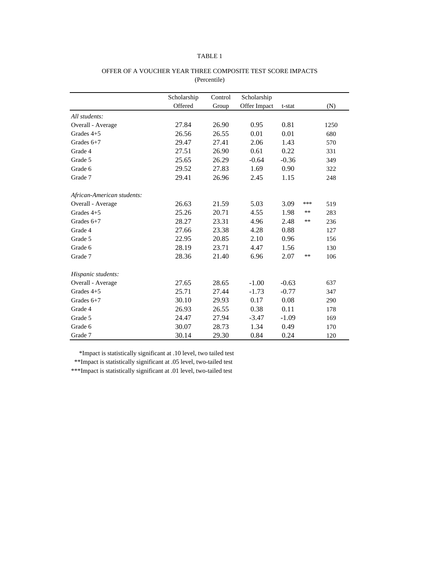|                            | Scholarship | Control | Scholarship  |         |       |      |
|----------------------------|-------------|---------|--------------|---------|-------|------|
|                            | Offered     | Group   | Offer Impact | t-stat  |       | (N)  |
| All students:              |             |         |              |         |       |      |
| Overall - Average          | 27.84       | 26.90   | 0.95         | 0.81    |       | 1250 |
| Grades $4+5$               | 26.56       | 26.55   | 0.01         | 0.01    |       | 680  |
| Grades $6+7$               | 29.47       | 27.41   | 2.06         | 1.43    |       | 570  |
| Grade 4                    | 27.51       | 26.90   | 0.61         | 0.22    |       | 331  |
| Grade 5                    | 25.65       | 26.29   | $-0.64$      | $-0.36$ |       | 349  |
| Grade 6                    | 29.52       | 27.83   | 1.69         | 0.90    |       | 322  |
| Grade 7                    | 29.41       | 26.96   | 2.45         | 1.15    |       | 248  |
| African-American students: |             |         |              |         |       |      |
| Overall - Average          | 26.63       | 21.59   | 5.03         | 3.09    | ***   | 519  |
| Grades $4+5$               | 25.26       | 20.71   | 4.55         | 1.98    | **    | 283  |
| Grades 6+7                 | 28.27       | 23.31   | 4.96         | 2.48    | **    | 236  |
| Grade 4                    | 27.66       | 23.38   | 4.28         | 0.88    |       | 127  |
| Grade 5                    | 22.95       | 20.85   | 2.10         | 0.96    |       | 156  |
| Grade 6                    | 28.19       | 23.71   | 4.47         | 1.56    |       | 130  |
| Grade 7                    | 28.36       | 21.40   | 6.96         | 2.07    | $***$ | 106  |
| Hispanic students:         |             |         |              |         |       |      |
| Overall - Average          | 27.65       | 28.65   | $-1.00$      | $-0.63$ |       | 637  |
| Grades $4+5$               | 25.71       | 27.44   | $-1.73$      | $-0.77$ |       | 347  |
| Grades $6+7$               | 30.10       | 29.93   | 0.17         | 0.08    |       | 290  |
| Grade 4                    | 26.93       | 26.55   | 0.38         | 0.11    |       | 178  |
| Grade 5                    | 24.47       | 27.94   | $-3.47$      | $-1.09$ |       | 169  |
| Grade 6                    | 30.07       | 28.73   | 1.34         | 0.49    |       | 170  |
| Grade 7                    | 30.14       | 29.30   | 0.84         | 0.24    |       | 120  |

# OFFER OF A VOUCHER YEAR THREE COMPOSITE TEST SCORE IMPACTS (Percentile)

\*Impact is statistically significant at .10 level, two tailed test

\*\*Impact is statistically significant at .05 level, two-tailed test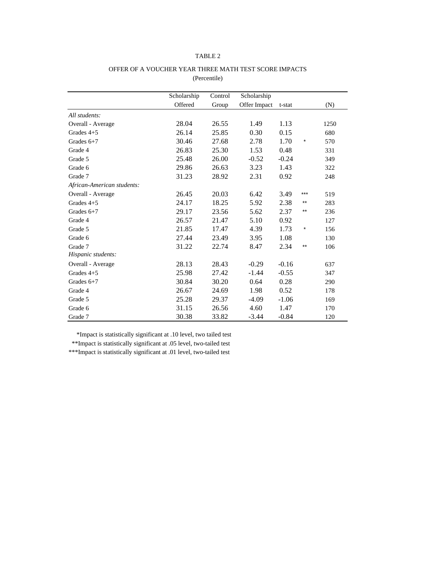|                            | Scholarship | Control | Scholarship  |         |         |      |
|----------------------------|-------------|---------|--------------|---------|---------|------|
|                            | Offered     | Group   | Offer Impact | t-stat  |         | (N)  |
| All students:              |             |         |              |         |         |      |
| Overall - Average          | 28.04       | 26.55   | 1.49         | 1.13    |         | 1250 |
| Grades $4+5$               | 26.14       | 25.85   | 0.30         | 0.15    |         | 680  |
| Grades $6+7$               | 30.46       | 27.68   | 2.78         | 1.70    | $\star$ | 570  |
| Grade 4                    | 26.83       | 25.30   | 1.53         | 0.48    |         | 331  |
| Grade 5                    | 25.48       | 26.00   | $-0.52$      | $-0.24$ |         | 349  |
| Grade 6                    | 29.86       | 26.63   | 3.23         | 1.43    |         | 322  |
| Grade 7                    | 31.23       | 28.92   | 2.31         | 0.92    |         | 248  |
| African-American students: |             |         |              |         |         |      |
| Overall - Average          | 26.45       | 20.03   | 6.42         | 3.49    | $***$   | 519  |
| Grades $4+5$               | 24.17       | 18.25   | 5.92         | 2.38    | $***$   | 283  |
| Grades $6+7$               | 29.17       | 23.56   | 5.62         | 2.37    | $***$   | 236  |
| Grade 4                    | 26.57       | 21.47   | 5.10         | 0.92    |         | 127  |
| Grade 5                    | 21.85       | 17.47   | 4.39         | 1.73    | $\star$ | 156  |
| Grade 6                    | 27.44       | 23.49   | 3.95         | 1.08    |         | 130  |
| Grade 7                    | 31.22       | 22.74   | 8.47         | 2.34    | $***$   | 106  |
| Hispanic students:         |             |         |              |         |         |      |
| Overall - Average          | 28.13       | 28.43   | $-0.29$      | $-0.16$ |         | 637  |
| Grades $4+5$               | 25.98       | 27.42   | $-1.44$      | $-0.55$ |         | 347  |
| Grades $6+7$               | 30.84       | 30.20   | 0.64         | 0.28    |         | 290  |
| Grade 4                    | 26.67       | 24.69   | 1.98         | 0.52    |         | 178  |
| Grade 5                    | 25.28       | 29.37   | $-4.09$      | $-1.06$ |         | 169  |
| Grade 6                    | 31.15       | 26.56   | 4.60         | 1.47    |         | 170  |
| Grade 7                    | 30.38       | 33.82   | $-3.44$      | $-0.84$ |         | 120  |

#### OFFER OF A VOUCHER YEAR THREE MATH TEST SCORE IMPACTS (Percentile)

\*Impact is statistically significant at .10 level, two tailed test

\*\*Impact is statistically significant at .05 level, two-tailed test